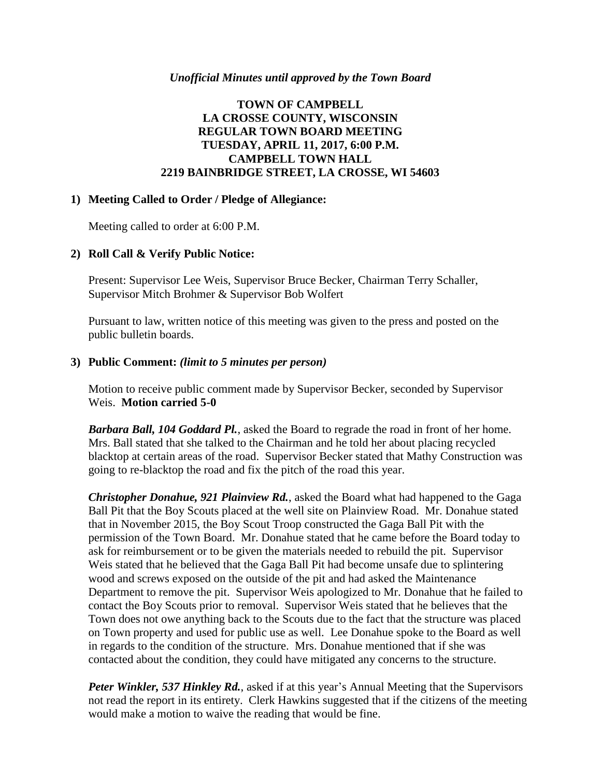### *Unofficial Minutes until approved by the Town Board*

# **TOWN OF CAMPBELL LA CROSSE COUNTY, WISCONSIN REGULAR TOWN BOARD MEETING TUESDAY, APRIL 11, 2017, 6:00 P.M. CAMPBELL TOWN HALL 2219 BAINBRIDGE STREET, LA CROSSE, WI 54603**

### **1) Meeting Called to Order / Pledge of Allegiance:**

Meeting called to order at 6:00 P.M.

### **2) Roll Call & Verify Public Notice:**

Present: Supervisor Lee Weis, Supervisor Bruce Becker, Chairman Terry Schaller, Supervisor Mitch Brohmer & Supervisor Bob Wolfert

Pursuant to law, written notice of this meeting was given to the press and posted on the public bulletin boards.

#### **3) Public Comment:** *(limit to 5 minutes per person)*

Motion to receive public comment made by Supervisor Becker, seconded by Supervisor Weis. **Motion carried 5-0**

*Barbara Ball, 104 Goddard Pl.*, asked the Board to regrade the road in front of her home. Mrs. Ball stated that she talked to the Chairman and he told her about placing recycled blacktop at certain areas of the road. Supervisor Becker stated that Mathy Construction was going to re-blacktop the road and fix the pitch of the road this year.

*Christopher Donahue, 921 Plainview Rd.*, asked the Board what had happened to the Gaga Ball Pit that the Boy Scouts placed at the well site on Plainview Road. Mr. Donahue stated that in November 2015, the Boy Scout Troop constructed the Gaga Ball Pit with the permission of the Town Board. Mr. Donahue stated that he came before the Board today to ask for reimbursement or to be given the materials needed to rebuild the pit. Supervisor Weis stated that he believed that the Gaga Ball Pit had become unsafe due to splintering wood and screws exposed on the outside of the pit and had asked the Maintenance Department to remove the pit. Supervisor Weis apologized to Mr. Donahue that he failed to contact the Boy Scouts prior to removal. Supervisor Weis stated that he believes that the Town does not owe anything back to the Scouts due to the fact that the structure was placed on Town property and used for public use as well. Lee Donahue spoke to the Board as well in regards to the condition of the structure. Mrs. Donahue mentioned that if she was contacted about the condition, they could have mitigated any concerns to the structure.

*Peter Winkler, 537 Hinkley Rd.*, asked if at this year's Annual Meeting that the Supervisors not read the report in its entirety. Clerk Hawkins suggested that if the citizens of the meeting would make a motion to waive the reading that would be fine.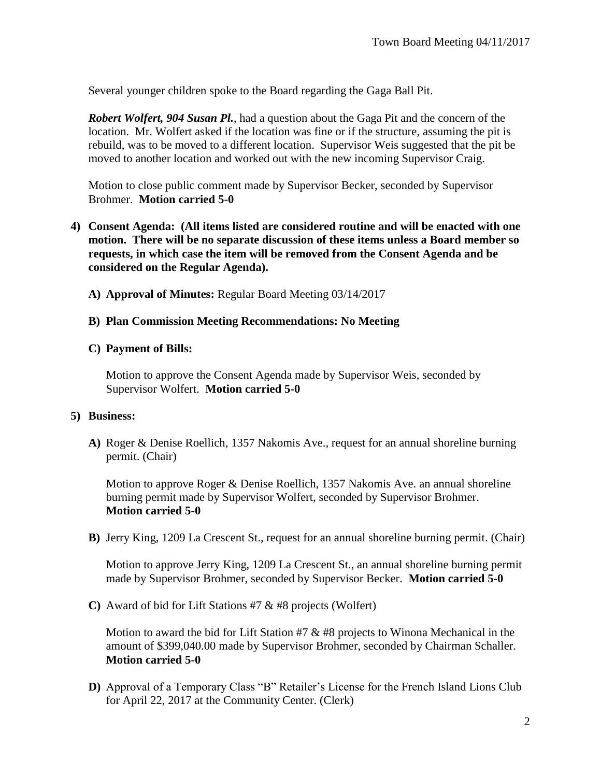Several younger children spoke to the Board regarding the Gaga Ball Pit.

*Robert Wolfert, 904 Susan Pl.*, had a question about the Gaga Pit and the concern of the location. Mr. Wolfert asked if the location was fine or if the structure, assuming the pit is rebuild, was to be moved to a different location. Supervisor Weis suggested that the pit be moved to another location and worked out with the new incoming Supervisor Craig.

Motion to close public comment made by Supervisor Becker, seconded by Supervisor Brohmer. **Motion carried 5-0**

- **4) Consent Agenda: (All items listed are considered routine and will be enacted with one motion. There will be no separate discussion of these items unless a Board member so requests, in which case the item will be removed from the Consent Agenda and be considered on the Regular Agenda).**
	- **A) Approval of Minutes:** Regular Board Meeting 03/14/2017

### **B) Plan Commission Meeting Recommendations: No Meeting**

### **C) Payment of Bills:**

Motion to approve the Consent Agenda made by Supervisor Weis, seconded by Supervisor Wolfert. **Motion carried 5-0**

### **5) Business:**

**A)** Roger & Denise Roellich, 1357 Nakomis Ave., request for an annual shoreline burning permit. (Chair)

Motion to approve Roger & Denise Roellich, 1357 Nakomis Ave. an annual shoreline burning permit made by Supervisor Wolfert, seconded by Supervisor Brohmer. **Motion carried 5-0**

**B)** Jerry King, 1209 La Crescent St., request for an annual shoreline burning permit. (Chair)

Motion to approve Jerry King, 1209 La Crescent St., an annual shoreline burning permit made by Supervisor Brohmer, seconded by Supervisor Becker. **Motion carried 5-0**

**C)** Award of bid for Lift Stations #7 & #8 projects (Wolfert)

Motion to award the bid for Lift Station #7  $\&$  #8 projects to Winona Mechanical in the amount of \$399,040.00 made by Supervisor Brohmer, seconded by Chairman Schaller. **Motion carried 5-0**

**D)** Approval of a Temporary Class "B" Retailer's License for the French Island Lions Club for April 22, 2017 at the Community Center. (Clerk)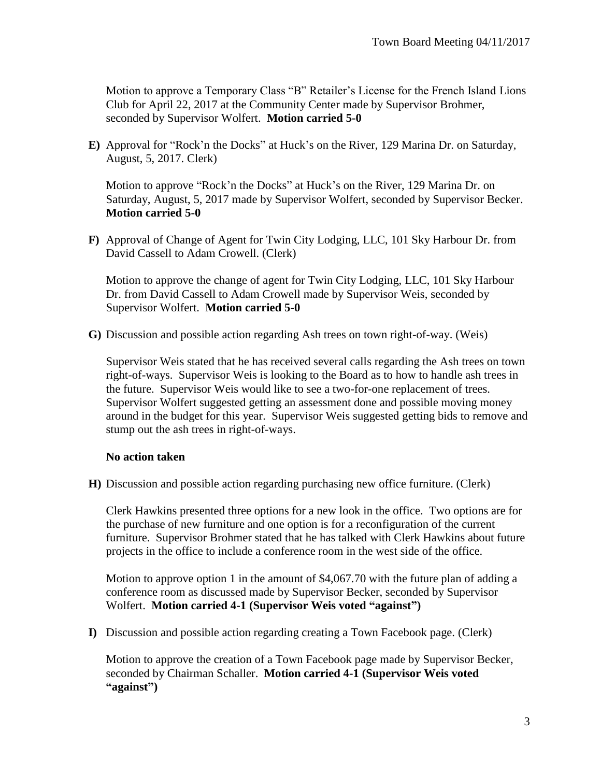Motion to approve a Temporary Class "B" Retailer's License for the French Island Lions Club for April 22, 2017 at the Community Center made by Supervisor Brohmer, seconded by Supervisor Wolfert. **Motion carried 5-0**

**E)** Approval for "Rock'n the Docks" at Huck's on the River, 129 Marina Dr. on Saturday, August, 5, 2017. Clerk)

Motion to approve "Rock'n the Docks" at Huck's on the River, 129 Marina Dr. on Saturday, August, 5, 2017 made by Supervisor Wolfert, seconded by Supervisor Becker. **Motion carried 5-0**

**F)** Approval of Change of Agent for Twin City Lodging, LLC, 101 Sky Harbour Dr. from David Cassell to Adam Crowell. (Clerk)

Motion to approve the change of agent for Twin City Lodging, LLC, 101 Sky Harbour Dr. from David Cassell to Adam Crowell made by Supervisor Weis, seconded by Supervisor Wolfert. **Motion carried 5-0**

**G)** Discussion and possible action regarding Ash trees on town right-of-way. (Weis)

Supervisor Weis stated that he has received several calls regarding the Ash trees on town right-of-ways. Supervisor Weis is looking to the Board as to how to handle ash trees in the future. Supervisor Weis would like to see a two-for-one replacement of trees. Supervisor Wolfert suggested getting an assessment done and possible moving money around in the budget for this year. Supervisor Weis suggested getting bids to remove and stump out the ash trees in right-of-ways.

### **No action taken**

**H)** Discussion and possible action regarding purchasing new office furniture. (Clerk)

Clerk Hawkins presented three options for a new look in the office. Two options are for the purchase of new furniture and one option is for a reconfiguration of the current furniture. Supervisor Brohmer stated that he has talked with Clerk Hawkins about future projects in the office to include a conference room in the west side of the office.

Motion to approve option 1 in the amount of \$4,067.70 with the future plan of adding a conference room as discussed made by Supervisor Becker, seconded by Supervisor Wolfert. **Motion carried 4-1 (Supervisor Weis voted "against")**

**I)** Discussion and possible action regarding creating a Town Facebook page. (Clerk)

Motion to approve the creation of a Town Facebook page made by Supervisor Becker, seconded by Chairman Schaller. **Motion carried 4-1 (Supervisor Weis voted "against")**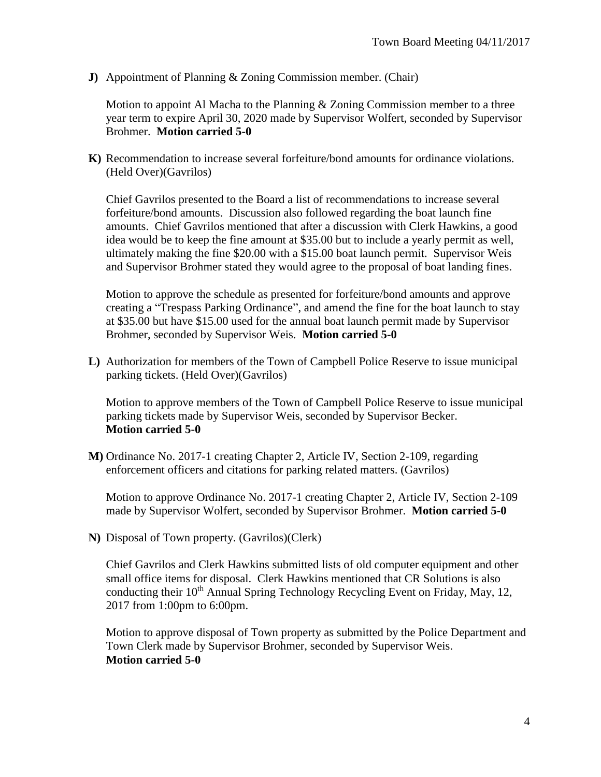**J)** Appointment of Planning & Zoning Commission member. (Chair)

Motion to appoint Al Macha to the Planning  $&$  Zoning Commission member to a three year term to expire April 30, 2020 made by Supervisor Wolfert, seconded by Supervisor Brohmer. **Motion carried 5-0**

**K)** Recommendation to increase several forfeiture/bond amounts for ordinance violations. (Held Over)(Gavrilos)

Chief Gavrilos presented to the Board a list of recommendations to increase several forfeiture/bond amounts. Discussion also followed regarding the boat launch fine amounts. Chief Gavrilos mentioned that after a discussion with Clerk Hawkins, a good idea would be to keep the fine amount at \$35.00 but to include a yearly permit as well, ultimately making the fine \$20.00 with a \$15.00 boat launch permit. Supervisor Weis and Supervisor Brohmer stated they would agree to the proposal of boat landing fines.

Motion to approve the schedule as presented for forfeiture/bond amounts and approve creating a "Trespass Parking Ordinance", and amend the fine for the boat launch to stay at \$35.00 but have \$15.00 used for the annual boat launch permit made by Supervisor Brohmer, seconded by Supervisor Weis. **Motion carried 5-0**

**L)** Authorization for members of the Town of Campbell Police Reserve to issue municipal parking tickets. (Held Over)(Gavrilos)

Motion to approve members of the Town of Campbell Police Reserve to issue municipal parking tickets made by Supervisor Weis, seconded by Supervisor Becker. **Motion carried 5-0**

**M)** Ordinance No. 2017-1 creating Chapter 2, Article IV, Section 2-109, regarding enforcement officers and citations for parking related matters. (Gavrilos)

Motion to approve Ordinance No. 2017-1 creating Chapter 2, Article IV, Section 2-109 made by Supervisor Wolfert, seconded by Supervisor Brohmer. **Motion carried 5-0**

**N)** Disposal of Town property. (Gavrilos)(Clerk)

Chief Gavrilos and Clerk Hawkins submitted lists of old computer equipment and other small office items for disposal. Clerk Hawkins mentioned that CR Solutions is also conducting their 10<sup>th</sup> Annual Spring Technology Recycling Event on Friday, May, 12, 2017 from 1:00pm to 6:00pm.

Motion to approve disposal of Town property as submitted by the Police Department and Town Clerk made by Supervisor Brohmer, seconded by Supervisor Weis. **Motion carried 5-0**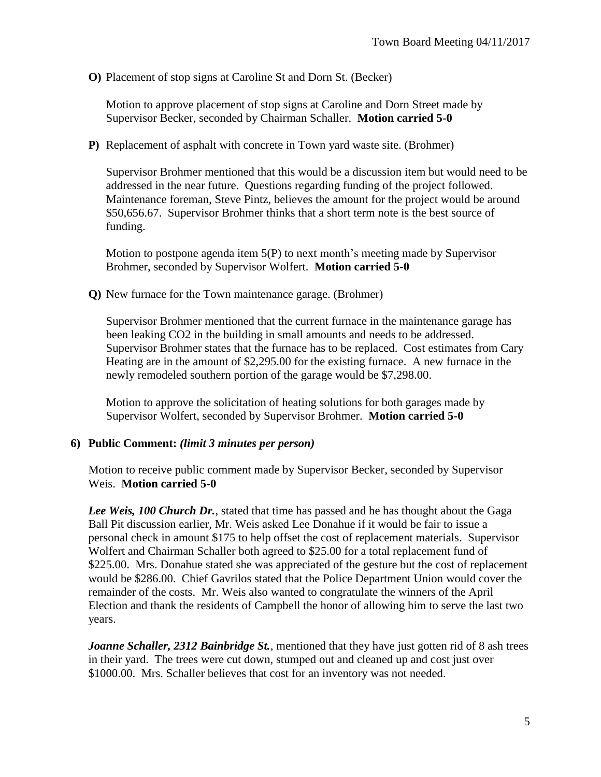**O)** Placement of stop signs at Caroline St and Dorn St. (Becker)

Motion to approve placement of stop signs at Caroline and Dorn Street made by Supervisor Becker, seconded by Chairman Schaller. **Motion carried 5-0**

**P)** Replacement of asphalt with concrete in Town yard waste site. (Brohmer)

Supervisor Brohmer mentioned that this would be a discussion item but would need to be addressed in the near future. Questions regarding funding of the project followed. Maintenance foreman, Steve Pintz, believes the amount for the project would be around \$50,656.67. Supervisor Brohmer thinks that a short term note is the best source of funding.

Motion to postpone agenda item 5(P) to next month's meeting made by Supervisor Brohmer, seconded by Supervisor Wolfert. **Motion carried 5-0**

**Q)** New furnace for the Town maintenance garage. (Brohmer)

Supervisor Brohmer mentioned that the current furnace in the maintenance garage has been leaking CO2 in the building in small amounts and needs to be addressed. Supervisor Brohmer states that the furnace has to be replaced. Cost estimates from Cary Heating are in the amount of \$2,295.00 for the existing furnace. A new furnace in the newly remodeled southern portion of the garage would be \$7,298.00.

Motion to approve the solicitation of heating solutions for both garages made by Supervisor Wolfert, seconded by Supervisor Brohmer. **Motion carried 5-0**

# **6) Public Comment:** *(limit 3 minutes per person)*

Motion to receive public comment made by Supervisor Becker, seconded by Supervisor Weis. **Motion carried 5-0**

*Lee Weis, 100 Church Dr.*, stated that time has passed and he has thought about the Gaga Ball Pit discussion earlier, Mr. Weis asked Lee Donahue if it would be fair to issue a personal check in amount \$175 to help offset the cost of replacement materials. Supervisor Wolfert and Chairman Schaller both agreed to \$25.00 for a total replacement fund of \$225.00. Mrs. Donahue stated she was appreciated of the gesture but the cost of replacement would be \$286.00. Chief Gavrilos stated that the Police Department Union would cover the remainder of the costs. Mr. Weis also wanted to congratulate the winners of the April Election and thank the residents of Campbell the honor of allowing him to serve the last two years.

*Joanne Schaller, 2312 Bainbridge St., mentioned that they have just gotten rid of 8 ash trees* in their yard. The trees were cut down, stumped out and cleaned up and cost just over \$1000.00. Mrs. Schaller believes that cost for an inventory was not needed.